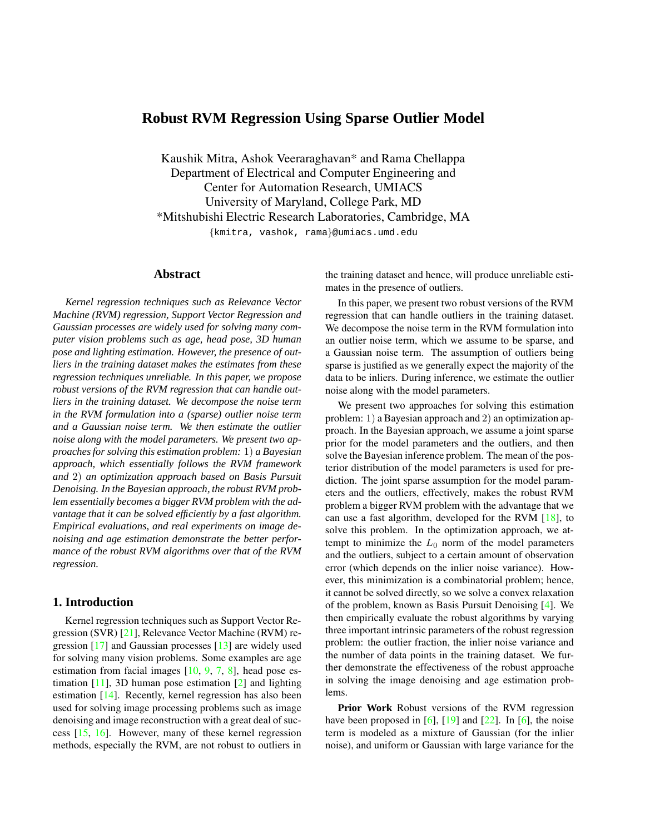# <span id="page-0-0"></span>**Robust RVM Regression Using Sparse Outlier Model**

Kaushik Mitra, Ashok Veeraraghavan\* and Rama Chellappa Department of Electrical and Computer Engineering and Center for Automation Research, UMIACS University of Maryland, College Park, MD \*Mitshubishi Electric Research Laboratories, Cambridge, MA {kmitra, vashok, rama}@umiacs.umd.edu

## **Abstract**

*Kernel regression techniques such as Relevance Vector Machine (RVM) regression, Support Vector Regression and Gaussian processes are widely used for solving many computer vision problems such as age, head pose, 3D human pose and lighting estimation. However, the presence of outliers in the training dataset makes the estimates from these regression techniques unreliable. In this paper, we propose robust versions of the RVM regression that can handle outliers in the training dataset. We decompose the noise term in the RVM formulation into a (sparse) outlier noise term and a Gaussian noise term. We then estimate the outlier noise along with the model parameters. We present two approachesfor solving this estimation problem:* 1) *a Bayesian approach, which essentially follows the RVM framework and* 2) *an optimization approach based on Basis Pursuit Denoising. In the Bayesian approach, the robust RVM problem essentially becomes a bigger RVM problem with the advantage that it can be solved efficiently by a fast algorithm. Empirical evaluations, and real experiments on image denoising and age estimation demonstrate the better performance of the robust RVM algorithms over that of the RVM regression.*

### **1. Introduction**

Kernel regression techniques such as Support Vector Regression (SVR) [\[21\]](#page-7-0), Relevance Vector Machine (RVM) regression [\[17\]](#page-7-1) and Gaussian processes [\[13\]](#page-7-2) are widely used for solving many vision problems. Some examples are age estimation from facial images [\[10,](#page-7-3) [9,](#page-7-4) [7,](#page-7-5) [8\]](#page-7-6), head pose estimation [\[11\]](#page-7-7), 3D human pose estimation [\[2\]](#page-7-8) and lighting estimation [\[14\]](#page-7-9). Recently, kernel regression has also been used for solving image processing problems such as image denoising and image reconstruction with a great deal of success [\[15,](#page-7-10) [16\]](#page-7-11). However, many of these kernel regression methods, especially the RVM, are not robust to outliers in the training dataset and hence, will produce unreliable estimates in the presence of outliers.

In this paper, we present two robust versions of the RVM regression that can handle outliers in the training dataset. We decompose the noise term in the RVM formulation into an outlier noise term, which we assume to be sparse, and a Gaussian noise term. The assumption of outliers being sparse is justified as we generally expect the majority of the data to be inliers. During inference, we estimate the outlier noise along with the model parameters.

We present two approaches for solving this estimation problem: 1) a Bayesian approach and 2) an optimization approach. In the Bayesian approach, we assume a joint sparse prior for the model parameters and the outliers, and then solve the Bayesian inference problem. The mean of the posterior distribution of the model parameters is used for prediction. The joint sparse assumption for the model parameters and the outliers, effectively, makes the robust RVM problem a bigger RVM problem with the advantage that we can use a fast algorithm, developed for the RVM [\[18\]](#page-7-12), to solve this problem. In the optimization approach, we attempt to minimize the  $L_0$  norm of the model parameters and the outliers, subject to a certain amount of observation error (which depends on the inlier noise variance). However, this minimization is a combinatorial problem; hence, it cannot be solved directly, so we solve a convex relaxation of the problem, known as Basis Pursuit Denoising [\[4\]](#page-7-13). We then empirically evaluate the robust algorithms by varying three important intrinsic parameters of the robust regression problem: the outlier fraction, the inlier noise variance and the number of data points in the training dataset. We further demonstrate the effectiveness of the robust approache in solving the image denoising and age estimation problems.

**Prior Work** Robust versions of the RVM regression have been proposed in [\[6\]](#page-7-14), [\[19\]](#page-7-15) and  $[22]$ . In [6], the noise term is modeled as a mixture of Gaussian (for the inlier noise), and uniform or Gaussian with large variance for the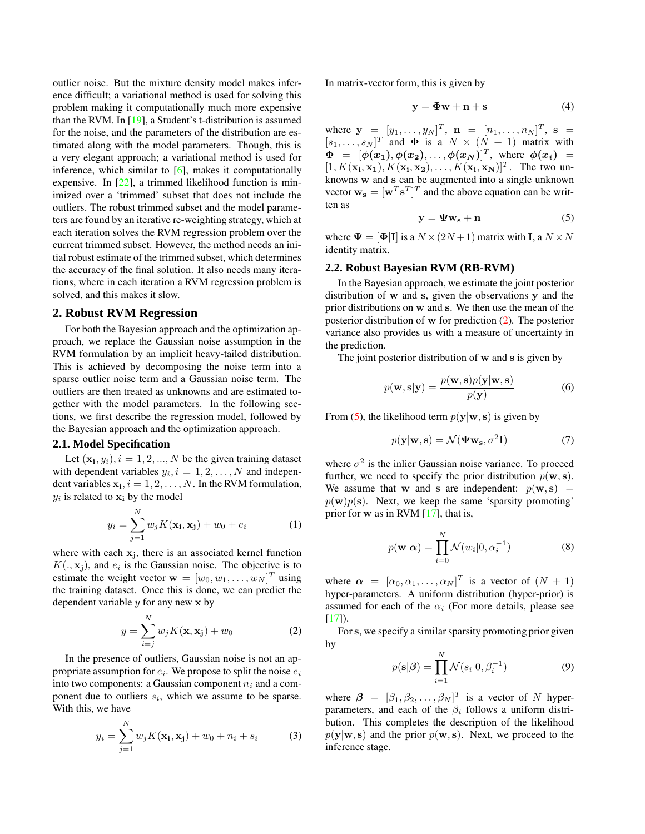<span id="page-1-2"></span>outlier noise. But the mixture density model makes inference difficult; a variational method is used for solving this problem making it computationally much more expensive than the RVM. In  $[19]$ , a Student's t-distribution is assumed for the noise, and the parameters of the distribution are estimated along with the model parameters. Though, this is a very elegant approach; a variational method is used for inference, which similar to  $[6]$ , makes it computationally expensive. In [\[22\]](#page-7-16), a trimmed likelihood function is minimized over a 'trimmed' subset that does not include the outliers. The robust trimmed subset and the model parameters are found by an iterative re-weighting strategy, which at each iteration solves the RVM regression problem over the current trimmed subset. However, the method needs an initial robust estimate of the trimmed subset, which determines the accuracy of the final solution. It also needs many iterations, where in each iteration a RVM regression problem is solved, and this makes it slow.

### **2. Robust RVM Regression**

For both the Bayesian approach and the optimization approach, we replace the Gaussian noise assumption in the RVM formulation by an implicit heavy-tailed distribution. This is achieved by decomposing the noise term into a sparse outlier noise term and a Gaussian noise term. The outliers are then treated as unknowns and are estimated together with the model parameters. In the following sections, we first describe the regression model, followed by the Bayesian approach and the optimization approach.

#### **2.1. Model Specification**

Let  $(\mathbf{x_i}, y_i)$ ,  $i = 1, 2, ..., N$  be the given training dataset with dependent variables  $y_i$ ,  $i = 1, 2, \dots, N$  and independent variables  $x_i$ ,  $i = 1, 2, ..., N$ . In the RVM formulation,  $y_i$  is related to  $x_i$  by the model

$$
y_i = \sum_{j=1}^{N} w_j K(\mathbf{x_i}, \mathbf{x_j}) + w_0 + e_i
$$
 (1)

where with each  $x_j$ , there is an associated kernel function  $K(.,\mathbf{x_j})$ , and  $e_i$  is the Gaussian noise. The objective is to estimate the weight vector  $\mathbf{w} = [w_0, w_1, \dots, w_N]^T$  using the training dataset. Once this is done, we can predict the dependent variable  $y$  for any new  $x$  by

$$
y = \sum_{i=j}^{N} w_j K(\mathbf{x}, \mathbf{x_j}) + w_0
$$
 (2)

<span id="page-1-0"></span>In the presence of outliers, Gaussian noise is not an appropriate assumption for  $e_i$ . We propose to split the noise  $e_i$ into two components: a Gaussian component  $n_i$  and a component due to outliers  $s_i$ , which we assume to be sparse. With this, we have

$$
y_i = \sum_{j=1}^{N} w_j K(\mathbf{x_i}, \mathbf{x_j}) + w_0 + n_i + s_i
$$
 (3)

In matrix-vector form, this is given by

$$
y = \Phi w + n + s \tag{4}
$$

where  $y = [y_1, ..., y_N]^T$ ,  $\mathbf{n} = [n_1, ..., n_N]^T$ ,  $\mathbf{s} =$  $[s_1, \ldots, s_N]^T$  and  $\Phi$  is a  $N \times (N + 1)$  matrix with  $\Phi = [\phi(x_1), \phi(x_2), \ldots, \phi(x_N)]^T$ , where  $\phi(x_i) =$  $[1, K(\mathbf{x_i}, \mathbf{x_1}), K(\mathbf{x_i}, \mathbf{x_2}), \dots, K(\mathbf{x_i}, \mathbf{x_N})]^T$ . The two unknowns w and s can be augmented into a single unknown vector  $\mathbf{w}_s = [\mathbf{w}^T \mathbf{s}^T]^T$  and the above equation can be written as

$$
y = \Psi w_s + n \tag{5}
$$

<span id="page-1-1"></span>where  $\Psi = [\Phi | I]$  is a  $N \times (2N + 1)$  matrix with **I**, a  $N \times N$ identity matrix.

### **2.2. Robust Bayesian RVM (RB-RVM)**

In the Bayesian approach, we estimate the joint posterior distribution of w and s, given the observations y and the prior distributions on w and s. We then use the mean of the posterior distribution of w for prediction [\(2\)](#page-1-0). The posterior variance also provides us with a measure of uncertainty in the prediction.

The joint posterior distribution of w and s is given by

$$
p(\mathbf{w}, \mathbf{s}|\mathbf{y}) = \frac{p(\mathbf{w}, \mathbf{s})p(\mathbf{y}|\mathbf{w}, \mathbf{s})}{p(\mathbf{y})}
$$
(6)

From [\(5\)](#page-1-1), the likelihood term  $p(y|w, s)$  is given by

$$
p(\mathbf{y}|\mathbf{w}, \mathbf{s}) = \mathcal{N}(\mathbf{\Psi}\mathbf{w_s}, \sigma^2 \mathbf{I})
$$
 (7)

where  $\sigma^2$  is the inlier Gaussian noise variance. To proceed further, we need to specify the prior distribution  $p(\mathbf{w}, \mathbf{s})$ . We assume that w and s are independent:  $p(\mathbf{w}, \mathbf{s})$  =  $p(\mathbf{w})p(\mathbf{s})$ . Next, we keep the same 'sparsity promoting' prior for  $w$  as in RVM  $[17]$ , that is,

$$
p(\mathbf{w}|\boldsymbol{\alpha}) = \prod_{i=0}^{N} \mathcal{N}(w_i|0, \alpha_i^{-1})
$$
 (8)

where  $\alpha = [\alpha_0, \alpha_1, \dots, \alpha_N]^T$  is a vector of  $(N + 1)$ hyper-parameters. A uniform distribution (hyper-prior) is assumed for each of the  $\alpha_i$  (For more details, please see  $[17]$ ).

For s, we specify a similar sparsity promoting prior given by

$$
p(\mathbf{s}|\boldsymbol{\beta}) = \prod_{i=1}^{N} \mathcal{N}(s_i|0, \beta_i^{-1})
$$
\n(9)

where  $\beta = [\beta_1, \beta_2, \dots, \beta_N]^T$  is a vector of N hyperparameters, and each of the  $\beta_i$  follows a uniform distribution. This completes the description of the likelihood  $p(\mathbf{y}|\mathbf{w}, \mathbf{s})$  and the prior  $p(\mathbf{w}, \mathbf{s})$ . Next, we proceed to the inference stage.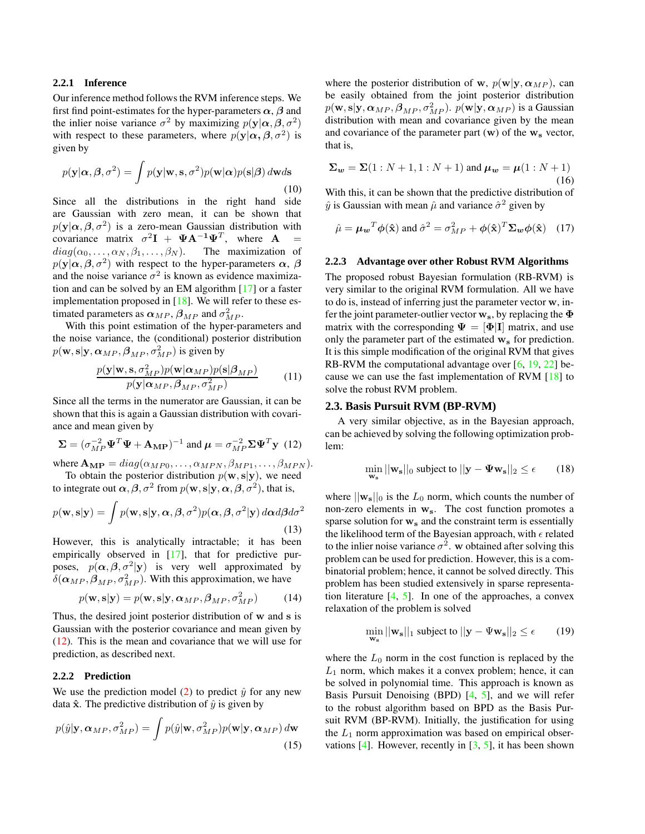#### <span id="page-2-3"></span>**2.2.1 Inference**

Our inference method follows the RVM inference steps. We first find point-estimates for the hyper-parameters  $\alpha$ ,  $\beta$  and the inlier noise variance  $\sigma^2$  by maximizing  $p(\mathbf{y}|\alpha, \beta, \sigma^2)$ with respect to these parameters, where  $p(y|\alpha, \beta, \sigma^2)$  is given by

$$
p(\mathbf{y}|\alpha, \beta, \sigma^2) = \int p(\mathbf{y}|\mathbf{w}, \mathbf{s}, \sigma^2) p(\mathbf{w}|\alpha) p(\mathbf{s}|\beta) d\mathbf{w} d\mathbf{s}
$$
\n(10)

Since all the distributions in the right hand side are Gaussian with zero mean, it can be shown that  $p(\mathbf{y}|\boldsymbol{\alpha}, \boldsymbol{\beta}, \sigma^2)$  is a zero-mean Gaussian distribution with covariance matrix  $\sigma^2 \mathbf{I} + \mathbf{\Psi} \mathbf{A}^{-1} \mathbf{\Psi}^T$ , where  $\mathbf{A} =$  $diag(\alpha_0, \ldots, \alpha_N, \beta_1, \ldots, \beta_N)$ . The maximization of  $p(\mathbf{y}|\boldsymbol{\alpha}, \boldsymbol{\beta}, \sigma^2)$  with respect to the hyper-parameters  $\boldsymbol{\alpha}$ ,  $\boldsymbol{\beta}$ and the noise variance  $\sigma^2$  is known as evidence maximization and can be solved by an EM algorithm [\[17\]](#page-7-1) or a faster implementation proposed in [\[18\]](#page-7-12). We will refer to these estimated parameters as  $\alpha_{MP}$ ,  $\beta_{MP}$  and  $\sigma_{MP}^2$ .

With this point estimation of the hyper-parameters and the noise variance, the (conditional) posterior distribution  $p(\mathbf{w}, \mathbf{s} | \mathbf{y}, \boldsymbol{\alpha}_{MP}, \boldsymbol{\beta}_{MP}, \sigma_{MP}^2)$  is given by

$$
\frac{p(\mathbf{y}|\mathbf{w}, \mathbf{s}, \sigma_{MP}^2)p(\mathbf{w}|\alpha_{MP})p(\mathbf{s}|\beta_{MP})}{p(\mathbf{y}|\alpha_{MP}, \beta_{MP}, \sigma_{MP}^2)}
$$
(11)

Since all the terms in the numerator are Gaussian, it can be shown that this is again a Gaussian distribution with covariance and mean given by

$$
\Sigma = (\sigma_{MP}^{-2} \Psi^T \Psi + \mathbf{A}_{\mathbf{MP}})^{-1} \text{ and } \boldsymbol{\mu} = \sigma_{MP}^{-2} \Sigma \Psi^T \mathbf{y} \tag{12}
$$

<span id="page-2-0"></span>where  $\mathbf{A}_{\mathbf{MP}} = diag(\alpha_{MP0}, \dots, \alpha_{MPN}, \beta_{MP1}, \dots, \beta_{MPN}).$ To obtain the posterior distribution  $p(\mathbf{w}, \mathbf{s}|\mathbf{y})$ , we need

to integrate out  $\alpha, \beta, \sigma^2$  from  $p(\mathbf{w}, \mathbf{s} | \mathbf{y}, \alpha, \beta, \sigma^2)$ , that is,

$$
p(\mathbf{w}, \mathbf{s}|\mathbf{y}) = \int p(\mathbf{w}, \mathbf{s}|\mathbf{y}, \alpha, \beta, \sigma^2) p(\alpha, \beta, \sigma^2|\mathbf{y}) d\alpha d\beta d\sigma^2
$$
\n(13)

However, this is analytically intractable; it has been empirically observed in [\[17\]](#page-7-1), that for predictive purposes,  $p(\alpha, \beta, \sigma^2 | y)$  is very well approximated by  $\delta(\alpha_{MP}, \beta_{MP}, \sigma_{MP}^2)$ . With this approximation, we have

$$
p(\mathbf{w}, \mathbf{s}|\mathbf{y}) = p(\mathbf{w}, \mathbf{s}|\mathbf{y}, \alpha_{MP}, \beta_{MP}, \sigma_{MP}^2)
$$
 (14)

Thus, the desired joint posterior distribution of w and s is Gaussian with the posterior covariance and mean given by [\(12\)](#page-2-0). This is the mean and covariance that we will use for prediction, as described next.

# **2.2.2 Prediction**

We use the prediction model [\(2\)](#page-1-0) to predict  $\hat{y}$  for any new data  $\hat{\mathbf{x}}$ . The predictive distribution of  $\hat{y}$  is given by

$$
p(\hat{y}|\mathbf{y}, \alpha_{MP}, \sigma_{MP}^2) = \int p(\hat{y}|\mathbf{w}, \sigma_{MP}^2) p(\mathbf{w}|\mathbf{y}, \alpha_{MP}) d\mathbf{w}
$$
\n(15)

where the posterior distribution of w,  $p(\mathbf{w}|\mathbf{y}, \alpha_{MP})$ , can be easily obtained from the joint posterior distribution  $p(\mathbf{w}, \mathbf{s} | \mathbf{y}, \boldsymbol{\alpha}_{MP}, \boldsymbol{\beta}_{MP}, \sigma_{MP}^2)$ .  $p(\mathbf{w} | \mathbf{y}, \boldsymbol{\alpha}_{MP})$  is a Gaussian distribution with mean and covariance given by the mean and covariance of the parameter part  $(w)$  of the  $w_s$  vector, that is,

$$
\Sigma_w = \Sigma(1: N+1, 1: N+1) \text{ and } \mu_w = \mu(1: N+1)
$$
\n(16)

With this, it can be shown that the predictive distribution of  $\hat{y}$  is Gaussian with mean  $\hat{\mu}$  and variance  $\hat{\sigma}^2$  given by

$$
\hat{\mu} = \mu_w^T \phi(\hat{\mathbf{x}}) \text{ and } \hat{\sigma}^2 = \sigma_{MP}^2 + \phi(\hat{\mathbf{x}})^T \Sigma_w \phi(\hat{\mathbf{x}}) \quad (17)
$$

#### **2.2.3 Advantage over other Robust RVM Algorithms**

The proposed robust Bayesian formulation (RB-RVM) is very similar to the original RVM formulation. All we have to do is, instead of inferring just the parameter vector w, infer the joint parameter-outlier vector  $w_s$ , by replacing the  $\Phi$ matrix with the corresponding  $\Psi = [\Phi] \Pi$  matrix, and use only the parameter part of the estimated  $w_s$  for prediction. It is this simple modification of the original RVM that gives RB-RVM the computational advantage over [\[6,](#page-7-14) [19,](#page-7-15) [22\]](#page-7-16) because we can use the fast implementation of RVM [\[18\]](#page-7-12) to solve the robust RVM problem.

### **2.3. Basis Pursuit RVM (BP-RVM)**

A very similar objective, as in the Bayesian approach, can be achieved by solving the following optimization problem:

$$
\min_{\mathbf{w_s}} ||\mathbf{w_s}||_0 \text{ subject to } ||\mathbf{y} - \mathbf{\Psi}\mathbf{w_s}||_2 \le \epsilon \qquad (18)
$$

<span id="page-2-1"></span>where  $||\mathbf{w}_s||_0$  is the  $L_0$  norm, which counts the number of non-zero elements in  $w_s$ . The cost function promotes a sparse solution for  $w_s$  and the constraint term is essentially the likelihood term of the Bayesian approach, with  $\epsilon$  related to the inlier noise variance  $\sigma^2$ . w obtained after solving this problem can be used for prediction. However, this is a combinatorial problem; hence, it cannot be solved directly. This problem has been studied extensively in sparse representation literature  $[4, 5]$  $[4, 5]$  $[4, 5]$ . In one of the approaches, a convex relaxation of the problem is solved

$$
\min_{\mathbf{w_s}} ||\mathbf{w_s}||_1 \text{ subject to } ||\mathbf{y} - \Psi \mathbf{w_s}||_2 \le \epsilon \qquad (19)
$$

<span id="page-2-2"></span>where the  $L_0$  norm in the cost function is replaced by the  $L_1$  norm, which makes it a convex problem; hence, it can be solved in polynomial time. This approach is known as Basis Pursuit Denoising (BPD) [\[4,](#page-7-13) [5\]](#page-7-17), and we will refer to the robust algorithm based on BPD as the Basis Pursuit RVM (BP-RVM). Initially, the justification for using the  $L_1$  norm approximation was based on empirical obser-vations [\[4\]](#page-7-13). However, recently in  $[3, 5]$  $[3, 5]$  $[3, 5]$ , it has been shown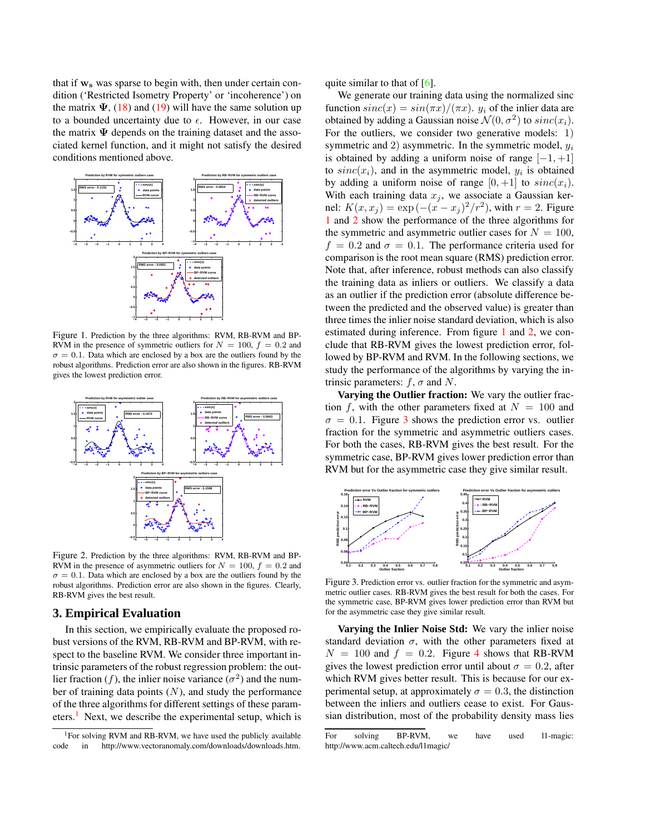<span id="page-3-4"></span>that if  $w_s$  was sparse to begin with, then under certain condition ('Restricted Isometry Property' or 'incoherence') on the matrix  $\Psi$ , [\(18\)](#page-2-1) and [\(19\)](#page-2-2) will have the same solution up to a bounded uncertainty due to  $\epsilon$ . However, in our case the matrix  $\Psi$  depends on the training dataset and the associated kernel function, and it might not satisfy the desired conditions mentioned above.



<span id="page-3-1"></span>Figure 1. Prediction by the three algorithms: RVM, RB-RVM and BP-RVM in the presence of symmetric outliers for  $N = 100$ ,  $f = 0.2$  and  $\sigma = 0.1$ . Data which are enclosed by a box are the outliers found by the robust algorithms. Prediction error are also shown in the figures. RB-RVM gives the lowest prediction error.



<span id="page-3-2"></span>Figure 2. Prediction by the three algorithms: RVM, RB-RVM and BP-RVM in the presence of asymmetric outliers for  $N = 100$ ,  $f = 0.2$  and  $\sigma = 0.1$ . Data which are enclosed by a box are the outliers found by the robust algorithms. Prediction error are also shown in the figures. Clearly, RB-RVM gives the best result.

#### **3. Empirical Evaluation**

In this section, we empirically evaluate the proposed robust versions of the RVM, RB-RVM and BP-RVM, with respect to the baseline RVM. We consider three important intrinsic parameters of the robust regression problem: the outlier fraction (f), the inlier noise variance  $(\sigma^2)$  and the number of training data points  $(N)$ , and study the performance of the three algorithms for different settings of these param-eters.<sup>[1](#page-3-0)</sup> Next, we describe the experimental setup, which is

quite similar to that of  $[6]$ .

We generate our training data using the normalized sinc function  $sinc(x) = sin(\pi x)/(\pi x)$ .  $y_i$  of the inlier data are obtained by adding a Gaussian noise  $\mathcal{N}(0, \sigma^2)$  to  $sinc(x_i)$ . For the outliers, we consider two generative models: 1) symmetric and 2) asymmetric. In the symmetric model,  $y_i$ is obtained by adding a uniform noise of range  $[-1, +1]$ to  $sinc(x_i)$ , and in the asymmetric model,  $y_i$  is obtained by adding a uniform noise of range  $[0, +1]$  to  $sinc(x_i)$ . With each training data  $x_j$ , we associate a Gaussian kernel:  $K(x, x_j) = \exp(-(x - x_j)^2/r^2)$ , with  $r = 2$ . Figure [1](#page-3-1) and [2](#page-3-2) show the performance of the three algorithms for the symmetric and asymmetric outlier cases for  $N = 100$ ,  $f = 0.2$  and  $\sigma = 0.1$ . The performance criteria used for comparison is the root mean square (RMS) prediction error. Note that, after inference, robust methods can also classify the training data as inliers or outliers. We classify a data as an outlier if the prediction error (absolute difference between the predicted and the observed value) is greater than three times the inlier noise standard deviation, which is also estimated during inference. From figure [1](#page-3-1) and [2,](#page-3-2) we conclude that RB-RVM gives the lowest prediction error, followed by BP-RVM and RVM. In the following sections, we study the performance of the algorithms by varying the intrinsic parameters:  $f, \sigma$  and N.

**Varying the Outlier fraction:** We vary the outlier fraction f, with the other parameters fixed at  $N = 100$  and  $\sigma = 0.1$ . Figure [3](#page-3-3) shows the prediction error vs. outlier fraction for the symmetric and asymmetric outliers cases. For both the cases, RB-RVM gives the best result. For the symmetric case, BP-RVM gives lower prediction error than RVM but for the asymmetric case they give similar result.



<span id="page-3-3"></span>Figure 3. Prediction error vs. outlier fraction for the symmetric and asymmetric outlier cases. RB-RVM gives the best result for both the cases. For the symmetric case, BP-RVM gives lower prediction error than RVM but for the asymmetric case they give similar result.

**Varying the Inlier Noise Std:** We vary the inlier noise standard deviation  $\sigma$ , with the other parameters fixed at  $N = 100$  and  $f = 0.2$ . Figure [4](#page-4-0) shows that RB-RVM gives the lowest prediction error until about  $\sigma = 0.2$ , after which RVM gives better result. This is because for our experimental setup, at approximately  $\sigma = 0.3$ , the distinction between the inliers and outliers cease to exist. For Gaussian distribution, most of the probability density mass lies

<span id="page-3-0"></span><sup>&</sup>lt;sup>1</sup>For solving RVM and RB-RVM, we have used the publicly available code in http://www.vectoranomaly.com/downloads/downloads.htm.

For solving BP-RVM, we have used l1-magic: http://www.acm.caltech.edu/l1magic/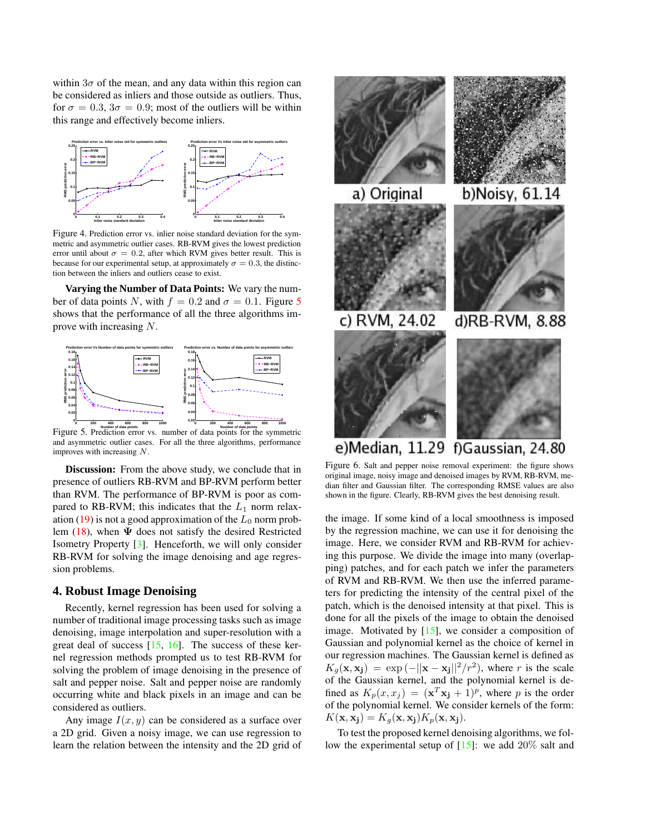<span id="page-4-3"></span>within  $3\sigma$  of the mean, and any data within this region can be considered as inliers and those outside as outliers. Thus, for  $\sigma = 0.3$ ,  $3\sigma = 0.9$ ; most of the outliers will be within this range and effectively become inliers.



<span id="page-4-0"></span>Figure 4. Prediction error vs. inlier noise standard deviation for the symmetric and asymmetric outlier cases. RB-RVM gives the lowest prediction error until about  $\sigma = 0.2$ , after which RVM gives better result. This is because for our experimental setup, at approximately  $\sigma = 0.3$ , the distinction between the inliers and outliers cease to exist.

**Varying the Number of Data Points:** We vary the number of data points N, with  $f = 0.2$  and  $\sigma = 0.1$ . Figure [5](#page-4-1) shows that the performance of all the three algorithms improve with increasing N.



<span id="page-4-1"></span>Figure 5. Prediction error vs. number of data points for the symmetric and asymmetric outlier cases. For all the three algorithms, performance improves with increasing N.

**Discussion:** From the above study, we conclude that in presence of outliers RB-RVM and BP-RVM perform better than RVM. The performance of BP-RVM is poor as compared to RB-RVM; this indicates that the  $L_1$  norm relax-ation [\(19\)](#page-2-2) is not a good approximation of the  $L_0$  norm prob-lem [\(18\)](#page-2-1), when  $\Psi$  does not satisfy the desired Restricted Isometry Property [\[3\]](#page-7-18). Henceforth, we will only consider RB-RVM for solving the image denoising and age regression problems.

# **4. Robust Image Denoising**

Recently, kernel regression has been used for solving a number of traditional image processing tasks such as image denoising, image interpolation and super-resolution with a great deal of success  $[15, 16]$  $[15, 16]$  $[15, 16]$ . The success of these kernel regression methods prompted us to test RB-RVM for solving the problem of image denoising in the presence of salt and pepper noise. Salt and pepper noise are randomly occurring white and black pixels in an image and can be considered as outliers.

Any image  $I(x, y)$  can be considered as a surface over a 2D grid. Given a noisy image, we can use regression to learn the relation between the intensity and the 2D grid of



e)Median, 11.29 f)Gaussian, 24.80

<span id="page-4-2"></span>Figure 6. Salt and pepper noise removal experiment: the figure shows original image, noisy image and denoised images by RVM, RB-RVM, median filter and Gaussian filter. The corresponding RMSE values are also shown in the figure. Clearly, RB-RVM gives the best denoising result.

the image. If some kind of a local smoothness is imposed by the regression machine, we can use it for denoising the image. Here, we consider RVM and RB-RVM for achieving this purpose. We divide the image into many (overlapping) patches, and for each patch we infer the parameters of RVM and RB-RVM. We then use the inferred parameters for predicting the intensity of the central pixel of the patch, which is the denoised intensity at that pixel. This is done for all the pixels of the image to obtain the denoised image. Motivated by  $[15]$ , we consider a composition of Gaussian and polynomial kernel as the choice of kernel in our regression machines. The Gaussian kernel is defined as  $K_g(\mathbf{x}, \mathbf{x_j}) = \exp(-||\mathbf{x} - \mathbf{x_j}||^2/r^2)$ , where r is the scale of the Gaussian kernel, and the polynomial kernel is defined as  $K_p(x, x_j) = (\mathbf{x}^T \mathbf{x_j} + 1)^p$ , where p is the order of the polynomial kernel. We consider kernels of the form:  $K(\mathbf{x}, \mathbf{x_j}) = K_g(\mathbf{x}, \mathbf{x_j}) K_p(\mathbf{x}, \mathbf{x_j}).$ 

To test the proposed kernel denoising algorithms, we follow the experimental setup of  $[15]$ : we add  $20\%$  salt and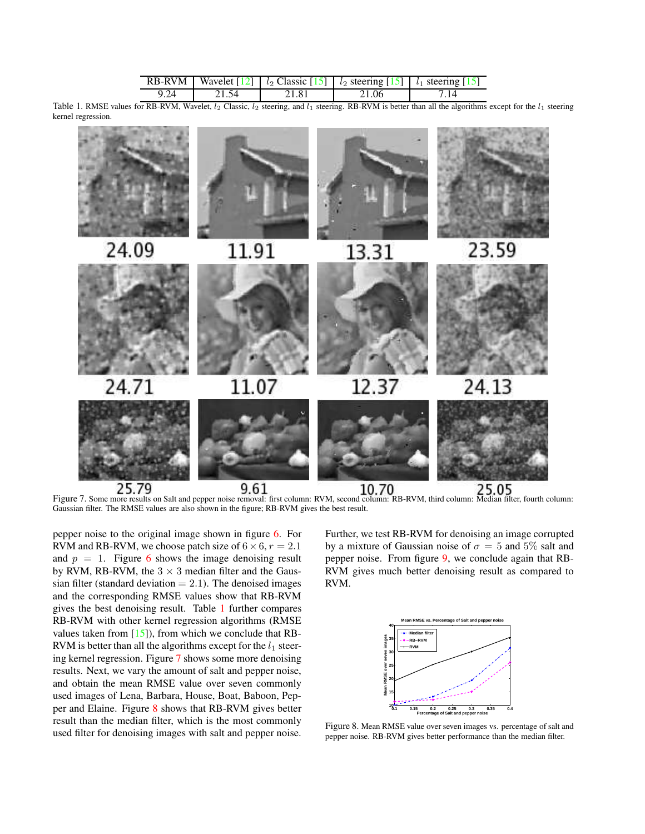|      |       |       | RB-RVM   Wavelet $\lceil 12 \rceil \mid l_2$ Classic $\lceil 15 \rceil \mid l_2$ steering $\lceil 15 \rceil \mid l_1$ steering $\lceil 15 \rceil$ |  |
|------|-------|-------|---------------------------------------------------------------------------------------------------------------------------------------------------|--|
| 9.24 | 21.54 | 21.81 | 21.06                                                                                                                                             |  |

<span id="page-5-3"></span><span id="page-5-0"></span>Table 1. RMSE values for RB-RVM, Wavelet,  $l_2$  Classic,  $l_2$  steering, and  $l_1$  steering. RB-RVM is better than all the algorithms except for the  $l_1$  steering kernel regression.



<span id="page-5-1"></span>Figure 7. Some more results on Salt and pepper noise removal: first column: RVM, second column: RB-RVM, third column: Median filter, fourth column: Gaussian filter. The RMSE values are also shown in the figure; RB-RVM gives the best result.

pepper noise to the original image shown in figure [6.](#page-4-2) For RVM and RB-RVM, we choose patch size of  $6 \times 6$ ,  $r = 2.1$ and  $p = 1$ . Figure [6](#page-4-2) shows the image denoising result by RVM, RB-RVM, the  $3 \times 3$  median filter and the Gaussian filter (standard deviation  $= 2.1$ ). The denoised images and the corresponding RMSE values show that RB-RVM gives the best denoising result. Table [1](#page-5-0) further compares RB-RVM with other kernel regression algorithms (RMSE values taken from  $[15]$ , from which we conclude that RB-RVM is better than all the algorithms except for the  $l_1$  steering kernel regression. Figure [7](#page-5-1) shows some more denoising results. Next, we vary the amount of salt and pepper noise, and obtain the mean RMSE value over seven commonly used images of Lena, Barbara, House, Boat, Baboon, Pepper and Elaine. Figure [8](#page-5-2) shows that RB-RVM gives better result than the median filter, which is the most commonly used filter for denoising images with salt and pepper noise.

Further, we test RB-RVM for denoising an image corrupted by a mixture of Gaussian noise of  $\sigma = 5$  and 5% salt and pepper noise. From figure [9,](#page-6-0) we conclude again that RB-RVM gives much better denoising result as compared to RVM.



<span id="page-5-2"></span>Figure 8. Mean RMSE value over seven images vs. percentage of salt and pepper noise. RB-RVM gives better performance than the median filter.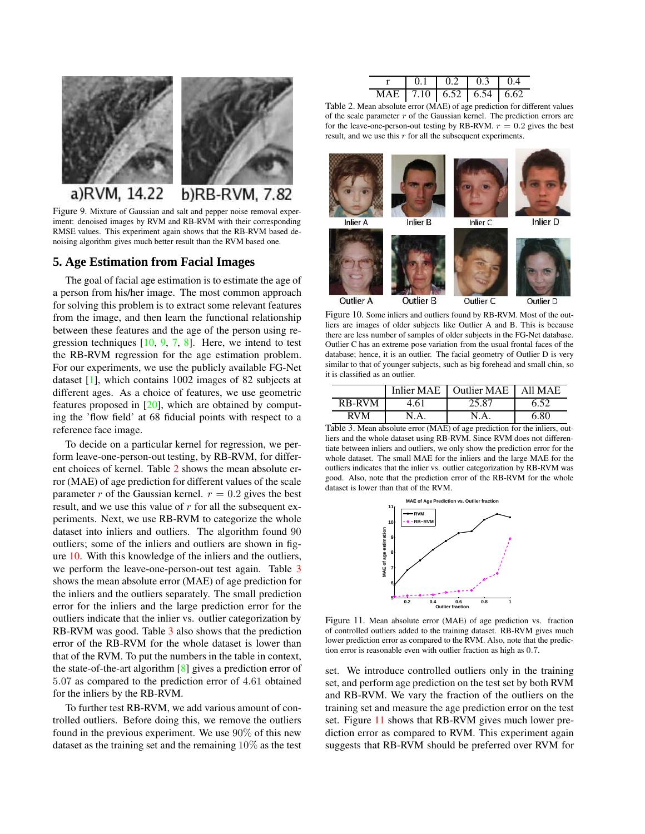<span id="page-6-5"></span>

<span id="page-6-0"></span>Figure 9. Mixture of Gaussian and salt and pepper noise removal experiment: denoised images by RVM and RB-RVM with their corresponding RMSE values. This experiment again shows that the RB-RVM based denoising algorithm gives much better result than the RVM based one.

# **5. Age Estimation from Facial Images**

The goal of facial age estimation is to estimate the age of a person from his/her image. The most common approach for solving this problem is to extract some relevant features from the image, and then learn the functional relationship between these features and the age of the person using regression techniques  $[10, 9, 7, 8]$  $[10, 9, 7, 8]$  $[10, 9, 7, 8]$  $[10, 9, 7, 8]$  $[10, 9, 7, 8]$  $[10, 9, 7, 8]$  $[10, 9, 7, 8]$ . Here, we intend to test the RB-RVM regression for the age estimation problem. For our experiments, we use the publicly available FG-Net dataset [\[1\]](#page-7-20), which contains 1002 images of 82 subjects at different ages. As a choice of features, we use geometric features proposed in  $[20]$ , which are obtained by computing the 'flow field' at 68 fiducial points with respect to a reference face image.

To decide on a particular kernel for regression, we perform leave-one-person-out testing, by RB-RVM, for different choices of kernel. Table [2](#page-6-1) shows the mean absolute error (MAE) of age prediction for different values of the scale parameter r of the Gaussian kernel.  $r = 0.2$  gives the best result, and we use this value of  $r$  for all the subsequent experiments. Next, we use RB-RVM to categorize the whole dataset into inliers and outliers. The algorithm found 90 outliers; some of the inliers and outliers are shown in figure [10.](#page-6-2) With this knowledge of the inliers and the outliers, we perform the leave-one-person-out test again. Table [3](#page-6-3) shows the mean absolute error (MAE) of age prediction for the inliers and the outliers separately. The small prediction error for the inliers and the large prediction error for the outliers indicate that the inlier vs. outlier categorization by RB-RVM was good. Table [3](#page-6-3) also shows that the prediction error of the RB-RVM for the whole dataset is lower than that of the RVM. To put the numbers in the table in context, the state-of-the-art algorithm [\[8\]](#page-7-6) gives a prediction error of 5.07 as compared to the prediction error of 4.61 obtained for the inliers by the RB-RVM.

To further test RB-RVM, we add various amount of controlled outliers. Before doing this, we remove the outliers found in the previous experiment. We use 90% of this new dataset as the training set and the remaining 10% as the test

|                                 | 0.1 | 0.2 | 0.3 | l 04 |
|---------------------------------|-----|-----|-----|------|
| MAE   7.10   6.52   6.54   6.62 |     |     |     |      |

<span id="page-6-1"></span>Table 2. Mean absolute error (MAE) of age prediction for different values of the scale parameter  $r$  of the Gaussian kernel. The prediction errors are for the leave-one-person-out testing by RB-RVM.  $r = 0.2$  gives the best result, and we use this  $r$  for all the subsequent experiments.



<span id="page-6-2"></span>Figure 10. Some inliers and outliers found by RB-RVM. Most of the outliers are images of older subjects like Outlier A and B. This is because there are less number of samples of older subjects in the FG-Net database. Outlier C has an extreme pose variation from the usual frontal faces of the database; hence, it is an outlier. The facial geometry of Outlier D is very similar to that of younger subjects, such as big forehead and small chin, so it is classified as an outlier.

|               |      | Inlier MAE 1 Outlier MAE 1 | All MAE |
|---------------|------|----------------------------|---------|
| <b>RB-RVM</b> | 4.61 | 25.87                      | 6.52    |
| <b>RVM</b>    | N.A. | N A                        | 6.80    |

<span id="page-6-3"></span>Table 3. Mean absolute error (MAE) of age prediction for the inliers, outliers and the whole dataset using RB-RVM. Since RVM does not differentiate between inliers and outliers, we only show the prediction error for the whole dataset. The small MAE for the inliers and the large MAE for the outliers indicates that the inlier vs. outlier categorization by RB-RVM was good. Also, note that the prediction error of the RB-RVM for the whole dataset is lower than that of the RVM.



<span id="page-6-4"></span>Figure 11. Mean absolute error (MAE) of age prediction vs. fraction of controlled outliers added to the training dataset. RB-RVM gives much lower prediction error as compared to the RVM. Also, note that the prediction error is reasonable even with outlier fraction as high as 0.7.

set. We introduce controlled outliers only in the training set, and perform age prediction on the test set by both RVM and RB-RVM. We vary the fraction of the outliers on the training set and measure the age prediction error on the test set. Figure [11](#page-6-4) shows that RB-RVM gives much lower prediction error as compared to RVM. This experiment again suggests that RB-RVM should be preferred over RVM for